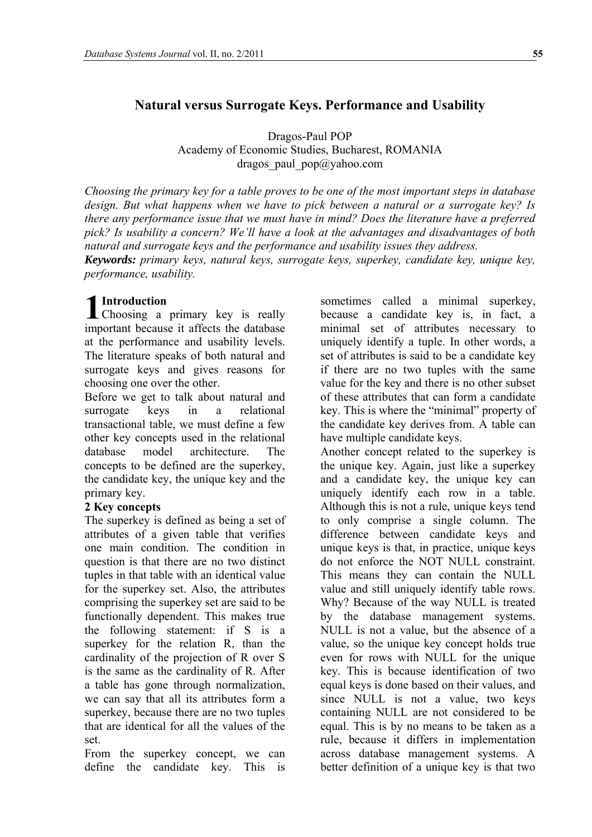# **Natural versus Surrogate Keys. Performance and Usability**

Dragos-Paul POP Academy of Economic Studies, Bucharest, ROMANIA dragos paul  $pop@yahoo.com$ 

*Choosing the primary key for a table proves to be one of the most important steps in database design. But what happens when we have to pick between a natural or a surrogate key? Is there any performance issue that we must have in mind? Does the literature have a preferred pick? Is usability a concern? We'll have a look at the advantages and disadvantages of both natural and surrogate keys and the performance and usability issues they address. Keywords: primary keys, natural keys, surrogate keys, superkey, candidate key, unique key,* 

*performance, usability.* 

## **Introduction**

**1** Introduction<br>Choosing a primary key is really impor tant because it affects the database at the performance and usability levels. The literature speaks of both natural and surrogate keys and gives reasons for choosing one over the other.

Before we get to talk about natural and surrogate keys in a relational transactional table, we must define a few other key concepts used in the relational database model architecture. The concepts to be defined are the superkey, the candidate key, the unique key and the primary key.

## **2 Key concepts**

The superkey is defined as being a set of attributes of a given table that verifies one main condition. The condition in question is that there are no two distinct tuples in that table with an identical value for the superkey set. Also, the attributes comprising the superkey set are said to be functionally dependent. This makes true the following statement: if S is a superkey for the relation R, than the cardinality of the projection of R over S is the same as the cardinality of R. After a table has gone through normalization, we can say that all its attributes form a superkey, because there are no two tuples that are identical for all the values of the set.

From the superkey concept, we can define the candidate key. This is

sometimes called a minimal superkey, because a candidate key is, in fact, a minimal set of attributes necessary to uniquely identify a tuple. In other words, a set of attributes is said to be a candidate key if there are no two tuples with the same value for the key and there is no other subset of these attributes that can form a candidate key. This is where the "minimal" property of the candidate key derives from. A table can have multiple candidate keys.

Another concept related to the superkey is the unique key. Again, just like a superkey and a candidate key, the unique key can uniquely identify each row in a table. Although this is not a rule, unique keys tend to only comprise a single column. The difference between candidate keys and unique keys is that, in practice, unique keys do not enforce the NOT NULL constraint. This means they can contain the NULL value and still uniquely identify table rows. Why? Because of the way NULL is treated by the database management systems. NULL is not a value, but the absence of a value, so the unique key concept holds true even for rows with NULL for the unique key. This is because identification of two equal keys is done based on their values, and since NULL is not a value, two keys containing NULL are not considered to be equal. This is by no means to be taken as a rule, because it differs in implementation across database management systems. A better definition of a unique key is that two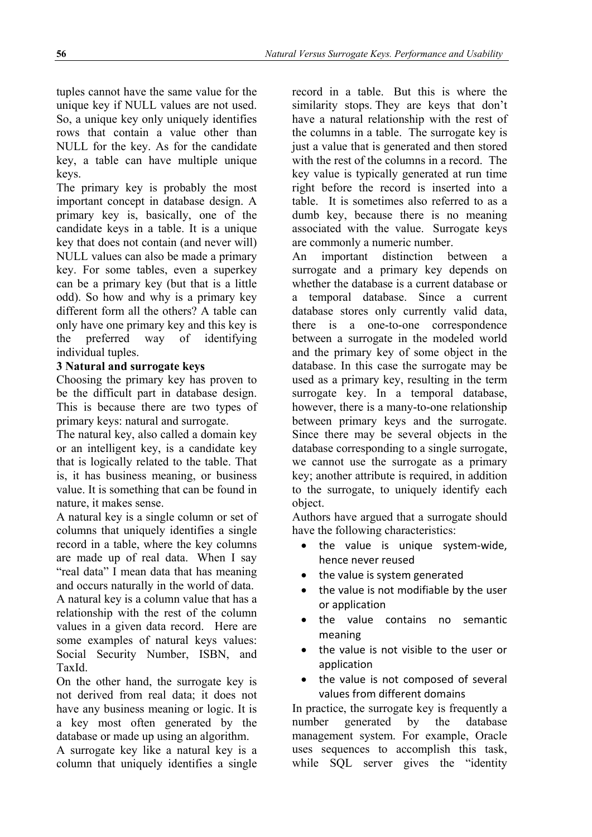tuples cannot have the same value for the unique key if NULL values are not used. So, a unique key only uniquely identifies rows that contain a value other than NULL for the key. As for the candidate key, a table can have multiple unique keys.

The primary key is probably the most important concept in database design. A primary key is, basically, one of the candidate keys in a table. It is a unique key that does not contain (and never will) NULL values can also be made a primary key. For some tables, even a superkey can be a primary key (but that is a little odd). So how and why is a primary key different form all the others? A table can only have one primary key and this key is the preferred way of identifying individual tuples.

## **3 Natural and surrogate keys**

Choosing the primary key has proven to be the difficult part in database design. This is because there are two types of primary keys: natural and surrogate.

The natural key, also called a domain key or an intelligent key, is a candidate key that is logically related to the table. That is, it has business meaning, or business value. It is something that can be found in nature, it makes sense.

A natural key is a single column or set of columns that uniquely identifies a single record in a table, where the key columns are made up of real data. When I say "real data" I mean data that has meaning and occurs naturally in the world of data.

A natural key is a column value that has a relationship with the rest of the column values in a given data record. Here are some examples of natural keys values: Social Security Number, ISBN, and TaxId.

On the other hand, the surrogate key is not derived from real data; it does not have any business meaning or logic. It is a key most often generated by the database or made up using an algorithm.

A surrogate key like a natural key is a column that uniquely identifies a single record in a table. But this is where the similarity stops. They are keys that don't have a natural relationship with the rest of the columns in a table. The surrogate key is just a value that is generated and then stored with the rest of the columns in a record. The key value is typically generated at run time right before the record is inserted into a table. It is sometimes also referred to as a dumb key, because there is no meaning associated with the value. Surrogate keys are commonly a numeric number.

An important distinction between a surrogate and a primary key depends on whether the database is a current database or a temporal database. Since a current database stores only currently valid data, there is a one-to-one correspondence between a surrogate in the modeled world and the primary key of some object in the database. In this case the surrogate may be used as a primary key, resulting in the term surrogate key. In a temporal database, however, there is a many-to-one relationship between primary keys and the surrogate. Since there may be several objects in the database corresponding to a single surrogate, we cannot use the surrogate as a primary key; another attribute is required, in addition to the surrogate, to uniquely identify each object.

Authors have argued that a surrogate should have the following characteristics:

- the value is unique system-wide, hence never reused
- the value is system generated
- the value is not modifiable by the user or application
- the value contains no semantic meaning
- the value is not visible to the user or application
- the value is not composed of several values from different domains

In practice, the surrogate key is frequently a number generated by the database management system. For example, Oracle uses sequences to accomplish this task, while SQL server gives the "identity"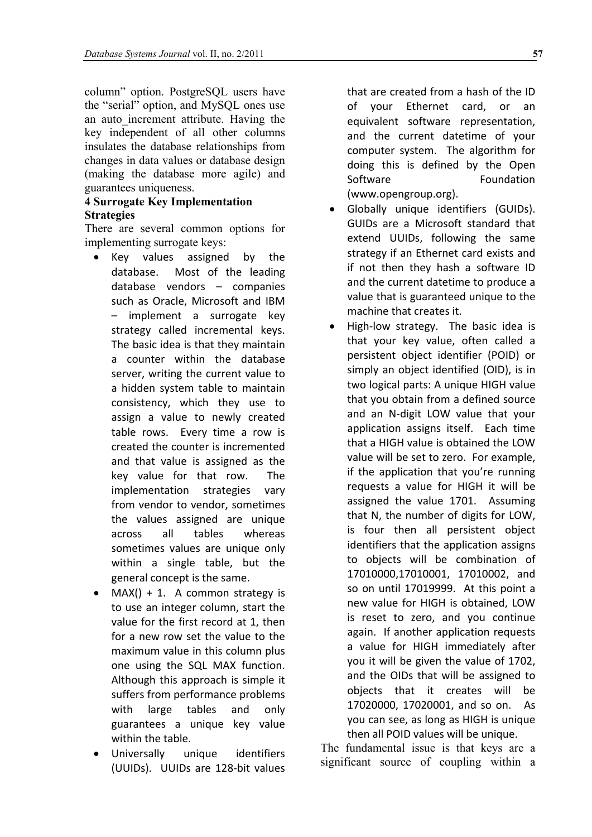column" option. PostgreSQL users have the "serial" option, and MySQL ones use an auto\_increment attribute. Having the key independent of all other columns insulates the database relationships from changes in data values or database design (making the database more agile) and guarantees uniqueness.

### **4 Surrogate Key Implementation Strategies**

There are several common options for implementing surrogate keys:

- Key values assigned by the database. Most of the leading database vendors – companies such as Oracle, Microsoft and IBM – implement a surrogate key strategy called incremental keys. The basic idea is that they maintain a counter within the database server, writing the current value to a hidden system table to maintain consistency, which they use to assign a value to newly created table rows. Every time a row is created the counter is incremented and that value is assigned as the key value for that row. The implementation strategies vary from vendor to vendor, sometimes the values assigned are unique across all tables whereas sometimes values are unique only within a single table, but the general concept is the same.
- $MAX() + 1$ . A common strategy is to use an integer column, start the value for the first record at 1, then for a new row set the value to the maximum value in this column plus one using the SQL MAX function. Although this approach is simple it suffers from performance problems with large tables and only guarantees a unique key value within the table.
- Universally unique identifiers (UUIDs). UUIDs are 128‐bit values

that are created from a hash of the ID of your Ethernet card, or an equivalent software representation, and the current datetime of your computer system. The algorithm for doing this is defined by the Open Software **Foundation** (www.opengroup.org).

- Globally unique identifiers (GUIDs). GUIDs are a Microsoft standard that extend UUIDs, following the same strategy if an Ethernet card exists and if not then they hash a software ID and the current datetime to produce a value that is guaranteed unique to the machine that creates it.
- High-low strategy. The basic idea is that your key value, often called a persistent object identifier (POID) or simply an object identified (OID), is in two logical parts: A unique HIGH value that you obtain from a defined source and an N‐digit LOW value that your application assigns itself. Each time that a HIGH value is obtained the LOW value will be set to zero. For example, if the application that you're running requests a value for HIGH it will be assigned the value 1701. Assuming that N, the number of digits for LOW, is four then all persistent object identifiers that the application assigns to objects will be combination of 17010000,17010001, 17010002, and so on until 17019999. At this point a new value for HIGH is obtained, LOW is reset to zero, and you continue again. If another application requests a value for HIGH immediately after you it will be given the value of 1702, and the OIDs that will be assigned to objects that it creates will be 17020000, 17020001, and so on. As you can see, as long as HIGH is unique then all POID values will be unique.

The fundamental issue is that keys are a significant source of coupling within a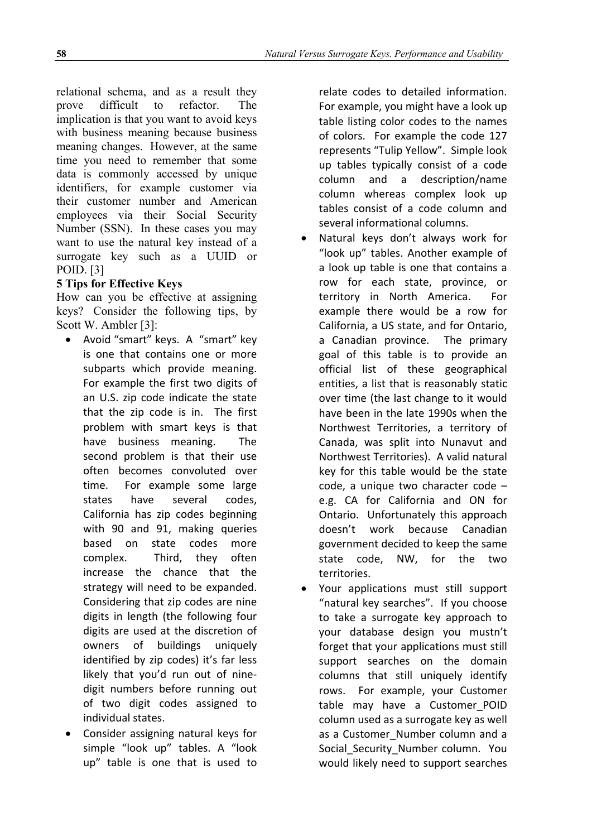relational schema, and as a result they prove difficult to refactor. The implication is that you want to avoid keys with business meaning because business meaning changes. However, at the same time you need to remember that some data is commonly accessed by unique identifiers, for example customer via their customer number and American employees via their Social Security Number (SSN). In these cases you may want to use the natural key instead of a surrogate key such as a UUID or POID. [3]

## **5 Tips for Effective Keys**

How can you be effective at assigning keys? Consider the following tips, by Scott W. Ambler [3]:

- Avoid "smart" keys. A "smart" key is one that contains one or more subparts which provide meaning. For example the first two digits of an U.S. zip code indicate the state that the zip code is in. The first problem with smart keys is that have business meaning. The second problem is that their use often becomes convoluted over time. For example some large states have several codes, California has zip codes beginning with 90 and 91, making queries based on state codes more complex. Third, they often increase the chance that the strategy will need to be expanded. Considering that zip codes are nine digits in length (the following four digits are used at the discretion of owners of buildings uniquely identified by zip codes) it's far less likely that you'd run out of nine‐ digit numbers before running out of two digit codes assigned to individual states.
- Consider assigning natural keys for simple "look up" tables. A "look up" table is one that is used to

relate codes to detailed information. For example, you might have a look up table listing color codes to the names of colors. For example the code 127 represents "Tulip Yellow". Simple look up tables typically consist of a code column and a description/name column whereas complex look up tables consist of a code column and several informational columns.

- Natural keys don't always work for "look up" tables. Another example of a look up table is one that contains a row for each state, province, or territory in North America. For example there would be a row for California, a US state, and for Ontario, a Canadian province. The primary goal of this table is to provide an official list of these geographical entities, a list that is reasonably static over time (the last change to it would have been in the late 1990s when the Northwest Territories, a territory of Canada, was split into Nunavut and Northwest Territories). A valid natural key for this table would be the state code, a unique two character code – e.g. CA for California and ON for Ontario. Unfortunately this approach doesn't work because Canadian government decided to keep the same state code, NW, for the two territories.
- Your applications must still support "natural key searches". If you choose to take a surrogate key approach to your database design you mustn't forget that your applications must still support searches on the domain columns that still uniquely identify rows. For example, your Customer table may have a Customer POID column used as a surrogate key as well as a Customer Number column and a Social Security Number column. You would likely need to support searches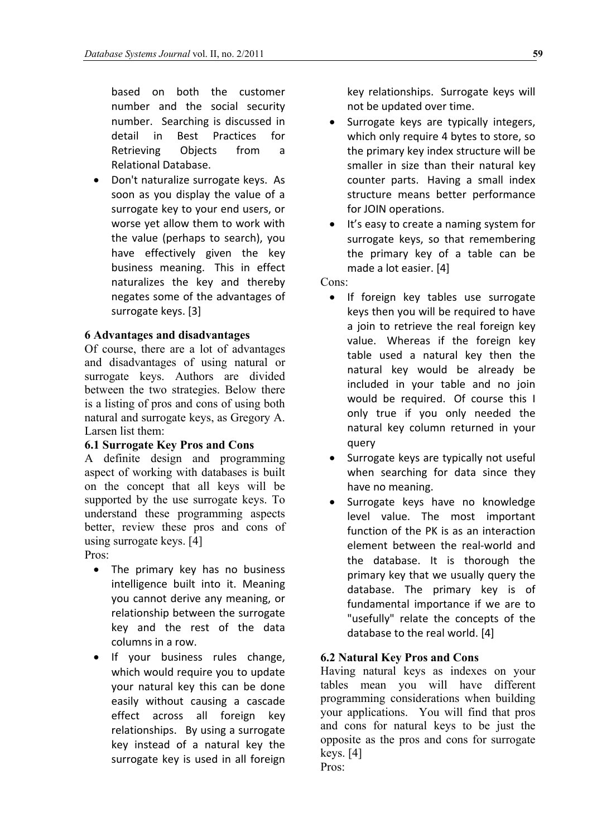based on both the customer number and the social security number. Searching is discussed in detail in Best Practices for Retrieving Objects from a Relational Database.

• Don't naturalize surrogate keys. As soon as you display the value of a surrogate key to your end users, or worse yet allow them to work with the value (perhaps to search), you have effectively given the key business meaning. This in effect naturalizes the key and thereby negates some of the advantages of surrogate keys. [3]

## **6 Advantages and disadvantages**

Of course, there are a lot of advantages and disadvantages of using natural or surrogate keys. Authors are divided between the two strategies. Below there is a listing of pros and cons of using both natural and surrogate keys, as Gregory A. Larsen list them:

## **6.1 Surrogate Key Pros and Cons**

A definite design and programming aspect of working with databases is built on the concept that all keys will be supported by the use surrogate keys. To understand these programming aspects better, review these pros and cons of using surrogate keys. [4] Pros:

- The primary key has no business intelligence built into it. Meaning you cannot derive any meaning, or relationship between the surrogate key and the rest of the data columns in a row.
- If your business rules change, which would require you to update your natural key this can be done easily without causing a cascade effect across all foreign key relationships. By using a surrogate key instead of a natural key the surrogate key is used in all foreign

key relationships. Surrogate keys will not be updated over time.

- Surrogate keys are typically integers, which only require 4 bytes to store, so the primary key index structure will be smaller in size than their natural key counter parts. Having a small index structure means better performance for JOIN operations.
- It's easy to create a naming system for surrogate keys, so that remembering the primary key of a table can be made a lot easier. [4]

Cons:

- If foreign key tables use surrogate keys then you will be required to have a join to retrieve the real foreign key value. Whereas if the foreign key table used a natural key then the natural key would be already be included in your table and no join would be required. Of course this I only true if you only needed the natural key column returned in your query
- Surrogate keys are typically not useful when searching for data since they have no meaning.
- Surrogate keys have no knowledge level value. The most important function of the PK is as an interaction element between the real‐world and the database. It is thorough the primary key that we usually query the database. The primary key is of fundamental importance if we are to "usefully" relate the concepts of the database to the real world. [4]

## **6.2 Natural Key Pros and Cons**

Having natural keys as indexes on your tables mean you will have different programming considerations when building your applications. You will find that pros and cons for natural keys to be just the opposite as the pros and cons for surrogate keys. [4] Pros: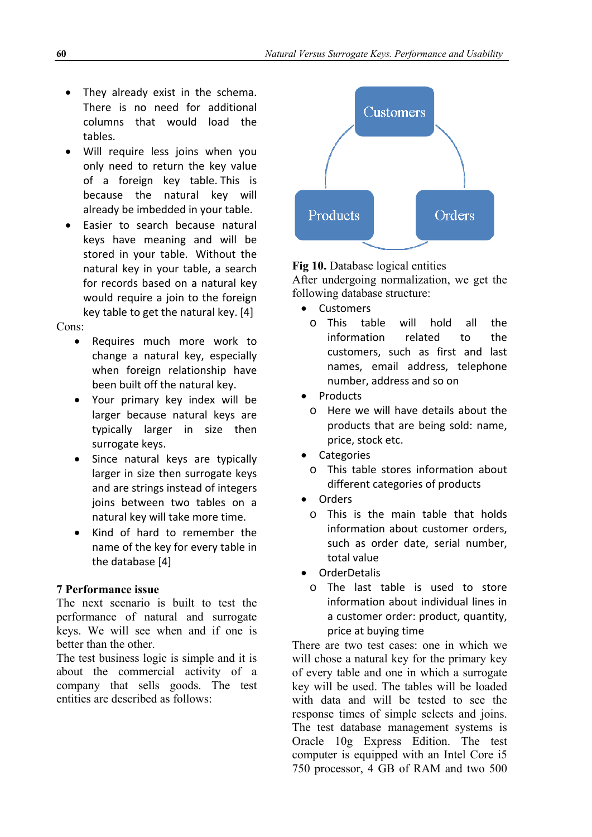- They already exist in the schema. There is no need for additional columns that would load the tables.
- Will require less joins when you only need to return the key value of a foreign key table. This is because the natural key will already be imbedded in your table.
- Easier to search because natural keys have meaning and will be stored in your table. Without the natural key in your table, a search for records based on a natural key would require a join to the foreign key table to get the natural key. [4]

## Cons:

- Requires much more work to change a natural key, especially when foreign relationship have been built off the natural key.
- Your primary key index will be larger because natural keys are typically larger in size then surrogate keys.
- Since natural keys are typically larger in size then surrogate keys and are strings instead of integers joins between two tables on a natural key will take more time.
- Kind of hard to remember the name of the key for every table in the database [4]

### **7 Performance issue**

The next scenario is built to test the performance of natural and surrogate keys. We will see when and if one is better than the other.

The test business logic is simple and it is about the commercial activity of a company that sells goods. The test entities are described as follows:



## **Fig 10.** Database logical entities

After undergoing normalization, we get the following database structure:

- Customers
	- o This table will hold all the information related to the customers, such as first and last names, email address, telephone number, address and so on
- Products
	- o Here we will have details about the products that are being sold: name, price, stock etc.
- Categories
- o This table stores information about different categories of products
- Orders
	- o This is the main table that holds information about customer orders, such as order date, serial number, total value
- OrderDetalis
	- o The last table is used to store information about individual lines in a customer order: product, quantity, price at buying time

There are two test cases: one in which we will chose a natural key for the primary key of every table and one in which a surrogate key will be used. The tables will be loaded with data and will be tested to see the response times of simple selects and joins. The test database management systems is Oracle 10g Express Edition. The test computer is equipped with an Intel Core i5 750 processor, 4 GB of RAM and two 500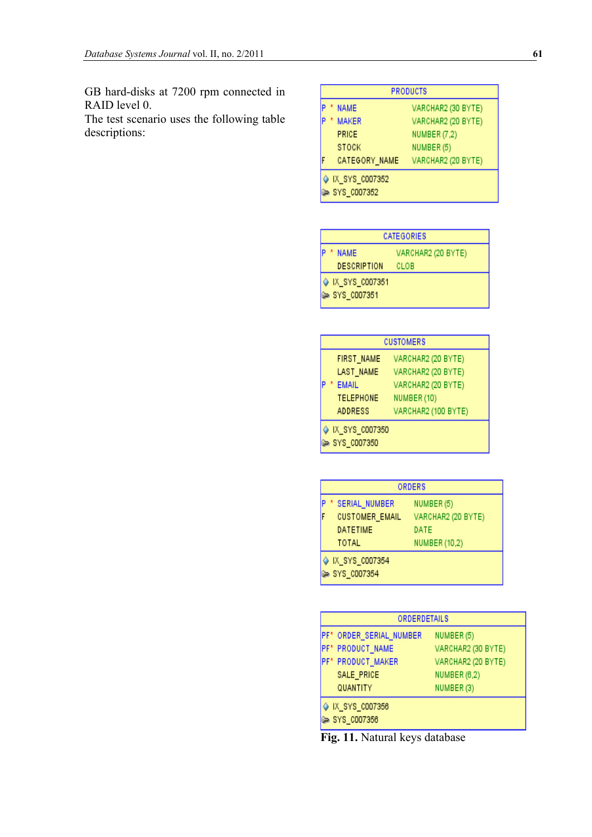GB hard-disks at 7200 rpm connected in RAID level 0.

The test scenario uses the following table descriptions:

| <b>PRODUCTS</b> |                               |                     |
|-----------------|-------------------------------|---------------------|
|                 | <b>NAME</b>                   | VARCHAR2 (30 BYTE)  |
|                 | <b>MAKER</b>                  | VARCHAR2 (20 BYTE)  |
|                 | PRICE                         | <b>NUMBER (7,2)</b> |
|                 | <b>STOCK</b>                  | NUMBER (5)          |
|                 | CATEGORY_NAME                 | VARCHAR2 (20 BYTE)  |
|                 | IX_SYS_C007352<br>SYS_C007352 |                     |

| CATEGORIES |                |                    |  |
|------------|----------------|--------------------|--|
|            | <b>NAME</b>    | VARCHAR2 (20 BYTE) |  |
|            | DESCRIPTION    | CLOB               |  |
|            | IX_SYS_C007351 |                    |  |
|            | SYS_C007351    |                    |  |

| <b>CUSTOMERS</b>              |                     |  |  |
|-------------------------------|---------------------|--|--|
| FIRST_NAME                    | VARCHAR2 (20 BYTE)  |  |  |
| LAST_NAME                     | VARCHAR2 (20 BYTE)  |  |  |
| <b>EMAIL</b>                  | VARCHAR2 (20 BYTE)  |  |  |
| <b>TELEPHONE</b>              | NUMBER (10)         |  |  |
| ADDRESS                       | VARCHAR2 (100 BYTE) |  |  |
| IX_SYS_C007350<br>SYS_C007350 |                     |  |  |

| <b>ORDERS</b>         |                    |  |
|-----------------------|--------------------|--|
| SERIAL NUMBER         | NUMBER (5)         |  |
| <b>CUSTOMER_EMAIL</b> | VARCHAR2 (20 BYTE) |  |
| <b>DATETIME</b>       | DATE               |  |
| TOTAL                 | NUMBER (10,2)      |  |
| IX_SYS_C007354        |                    |  |
| SYS_C007354           |                    |  |

| ORDERDETAILS                  |                    |  |  |
|-------------------------------|--------------------|--|--|
| PF* ORDER_SERIAL_NUMBER       | NUMBER (5)         |  |  |
| PF* PRODUCT_NAME              | VARCHAR2 (30 BYTE) |  |  |
| PF* PRODUCT_MAKER             | VARCHAR2 (20 BYTE) |  |  |
| SALE_PRICE                    | NUMBER (6,2)       |  |  |
| QUANTITY                      | NUMBER (3)         |  |  |
| IX_SYS_C007356<br>SYS_C007356 |                    |  |  |

**Fig. 11.** Natural keys database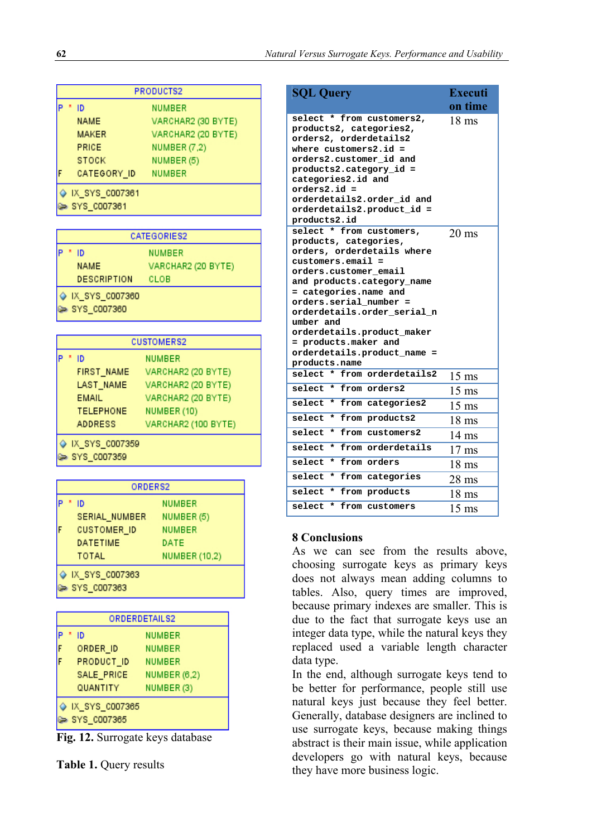| PRODUCTS2 |                |                     |
|-----------|----------------|---------------------|
|           | ID             | <b>NUMBER</b>       |
|           | <b>NAME</b>    | VARCHAR2 (30 BYTE)  |
|           | <b>MAKER</b>   | VARCHAR2 (20 BYTE)  |
|           | PRICE          | <b>NUMBER (7,2)</b> |
|           | <b>STOCK</b>   | NUMBER (5)          |
|           | CATEGORY_ID    | <b>NUMBER</b>       |
|           | IX_SYS_C007361 |                     |
|           | SYS_C007361    |                     |

| CATEGORIES2  |                               |                    |
|--------------|-------------------------------|--------------------|
| NUMBER<br>ID |                               |                    |
|              | <b>NAME</b>                   | VARCHAR2 (20 BYTE) |
|              | DESCRIPTION                   | CLOB               |
|              | IX_SYS_C007360<br>SYS_C007360 |                    |

| <b>CUSTOMERS2</b> |                               |                     |  |
|-------------------|-------------------------------|---------------------|--|
|                   | ID                            | <b>NUMBER</b>       |  |
|                   | FIRST_NAME                    | VARCHAR2 (20 BYTE)  |  |
|                   | LAST_NAME                     | VARCHAR2 (20 BYTE)  |  |
|                   | <b>EMAIL</b>                  | VARCHAR2 (20 BYTE)  |  |
|                   | <b>TELEPHONE</b>              | NUMBER (10)         |  |
|                   | <b>ADDRESS</b>                | VARCHAR2 (100 BYTE) |  |
|                   | IX_SYS_C007359<br>SYS_C007359 |                     |  |

| ORDERS2            |                      |  |
|--------------------|----------------------|--|
| ID                 | NUMBER               |  |
| SERIAL NUMBER      | NUMBER (5)           |  |
| <b>CUSTOMER_ID</b> | <b>NUMBER</b>        |  |
| <b>DATETIME</b>    | DATE                 |  |
| TOTAL              | <b>NUMBER (10,2)</b> |  |
| IX_SYS_C007363     |                      |  |
| SYS_C007363        |                      |  |

| ORDERDETAILS2 |                               |                     |
|---------------|-------------------------------|---------------------|
|               | ID                            | NUMBER              |
|               | ORDER ID                      | NUMBER              |
|               | PRODUCT_ID                    | <b>NUMBER</b>       |
|               | SALE_PRICE                    | <b>NUMBER (6,2)</b> |
|               | QUANTITY                      | NUMBER (3)          |
|               | IX_SYS_C007365<br>SYS_C007365 |                     |

**Fig. 12.** Surrogate keys database

**Table 1.** Query results

| <b>SQL Query</b>                                                                                                                                                                                                                                                                                                                                                        | <b>Executi</b>   |
|-------------------------------------------------------------------------------------------------------------------------------------------------------------------------------------------------------------------------------------------------------------------------------------------------------------------------------------------------------------------------|------------------|
|                                                                                                                                                                                                                                                                                                                                                                         | on time          |
| select * from customers2,<br>products2, categories2,<br>orders2, orderdetails2<br>where $cutomers2.id =$<br>orders2.customer_id and<br>products2.category_id =<br>categories2.id and<br>orders2.id =<br>orderdetails2.order id and<br>orderdetails2.product_id =<br>products2.id                                                                                        | $18 \text{ ms}$  |
| select * from customers,<br>products, categories,<br>orders, orderdetails where<br>$cuts$ tomers. $email =$<br>orders.customer email<br>and products.category_name<br>= categories.name and<br>orders.serial number =<br>orderdetails.order_serial_n<br>umber and<br>orderdetails.product_maker<br>= products.maker and<br>orderdetails.product_name =<br>products.name | $20 \text{ ms}$  |
| select * from orderdetails2                                                                                                                                                                                                                                                                                                                                             | $15$ ms          |
| select<br>* from orders2                                                                                                                                                                                                                                                                                                                                                | $15 \text{ ms}$  |
| select<br>* from categories2                                                                                                                                                                                                                                                                                                                                            | $15 \text{ ms}$  |
| select<br>from products2<br>$\star$                                                                                                                                                                                                                                                                                                                                     | 18 ms            |
| select<br>$\star$<br>from customers2                                                                                                                                                                                                                                                                                                                                    | $14 \text{ ms}$  |
| select<br>from orderdetails<br>$\star$                                                                                                                                                                                                                                                                                                                                  | $17 \text{ ms}$  |
| select<br>from orders<br>$\star$                                                                                                                                                                                                                                                                                                                                        | 18 <sub>ms</sub> |
| select<br>from categories<br>*                                                                                                                                                                                                                                                                                                                                          | $28 \text{ ms}$  |
| select<br>from products<br>*                                                                                                                                                                                                                                                                                                                                            | 18 ms            |
| select<br>$\star$<br>from customers                                                                                                                                                                                                                                                                                                                                     | $15 \text{ ms}$  |

### **8 Conclusions**

As we can see from the results above, choosing surrogate keys as primary keys does not always mean adding columns to tables. Also, query times are improved, because primary indexes are smaller. This is due to the fact that surrogate keys use an integer data type, while the natural keys they replaced used a variable length character data type.

In the end, although surrogate keys tend to be better for performance, people still use natural keys just because they feel better. Generally, database designers are inclined to use surrogate keys, because making things abstract is their main issue, while application developers go with natural keys, because they have more business logic.